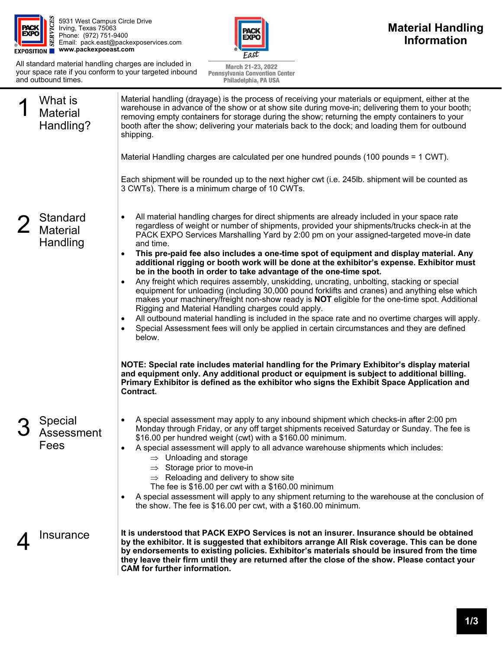

5931 West Campus Circle Drive Irving, Texas 75063 Phone: (972) 751-9400 Email: pack.east@packexposervices.com **www.packexpoeast.com** 

All standard material handling charges are included in your space rate if you conform to your targeted inbound and outbound times.



March 21-23, 2022 Pennsylvania Convention Center Philadelphia, PA USA

| What is<br><b>Material</b><br>Handling?        | Material handling (drayage) is the process of receiving your materials or equipment, either at the<br>warehouse in advance of the show or at show site during move-in; delivering them to your booth;<br>removing empty containers for storage during the show; returning the empty containers to your<br>booth after the show; delivering your materials back to the dock; and loading them for outbound<br>shipping.<br>Material Handling charges are calculated per one hundred pounds (100 pounds = 1 CWT).<br>Each shipment will be rounded up to the next higher cwt (i.e. 245lb. shipment will be counted as<br>3 CWTs). There is a minimum charge of 10 CWTs.                                                                                                                                                                                                                                                                                                                                                                                                                                                                                 |
|------------------------------------------------|-------------------------------------------------------------------------------------------------------------------------------------------------------------------------------------------------------------------------------------------------------------------------------------------------------------------------------------------------------------------------------------------------------------------------------------------------------------------------------------------------------------------------------------------------------------------------------------------------------------------------------------------------------------------------------------------------------------------------------------------------------------------------------------------------------------------------------------------------------------------------------------------------------------------------------------------------------------------------------------------------------------------------------------------------------------------------------------------------------------------------------------------------------|
| <b>Standard</b><br><b>Material</b><br>Handling | All material handling charges for direct shipments are already included in your space rate<br>regardless of weight or number of shipments, provided your shipments/trucks check-in at the<br>PACK EXPO Services Marshalling Yard by 2:00 pm on your assigned-targeted move-in date<br>and time.<br>This pre-paid fee also includes a one-time spot of equipment and display material. Any<br>$\bullet$<br>additional rigging or booth work will be done at the exhibitor's expense. Exhibitor must<br>be in the booth in order to take advantage of the one-time spot.<br>Any freight which requires assembly, unskidding, uncrating, unbolting, stacking or special<br>equipment for unloading (including 30,000 pound forklifts and cranes) and anything else which<br>makes your machinery/freight non-show ready is NOT eligible for the one-time spot. Additional<br>Rigging and Material Handling charges could apply.<br>All outbound material handling is included in the space rate and no overtime charges will apply.<br>$\bullet$<br>Special Assessment fees will only be applied in certain circumstances and they are defined<br>below. |
| Special<br>Assessment<br>Fees                  | NOTE: Special rate includes material handling for the Primary Exhibitor's display material<br>and equipment only. Any additional product or equipment is subject to additional billing.<br>Primary Exhibitor is defined as the exhibitor who signs the Exhibit Space Application and<br>Contract.<br>A special assessment may apply to any inbound shipment which checks-in after 2:00 pm<br>Monday through Friday, or any off target shipments received Saturday or Sunday. The fee is<br>\$16.00 per hundred weight (cwt) with a \$160.00 minimum.<br>A special assessment will apply to all advance warehouse shipments which includes:<br>$\Rightarrow$ Unloading and storage<br>Storage prior to move-in<br>$\Rightarrow$ Reloading and delivery to show site<br>The fee is \$16.00 per cwt with a \$160.00 minimum<br>A special assessment will apply to any shipment returning to the warehouse at the conclusion of<br>the show. The fee is \$16.00 per cwt, with a \$160.00 minimum.                                                                                                                                                         |
| Insurance                                      | It is understood that PACK EXPO Services is not an insurer. Insurance should be obtained<br>by the exhibitor. It is suggested that exhibitors arrange All Risk coverage. This can be done<br>by endorsements to existing policies. Exhibitor's materials should be insured from the time<br>they leave their firm until they are returned after the close of the show. Please contact your<br><b>CAM</b> for further information.                                                                                                                                                                                                                                                                                                                                                                                                                                                                                                                                                                                                                                                                                                                     |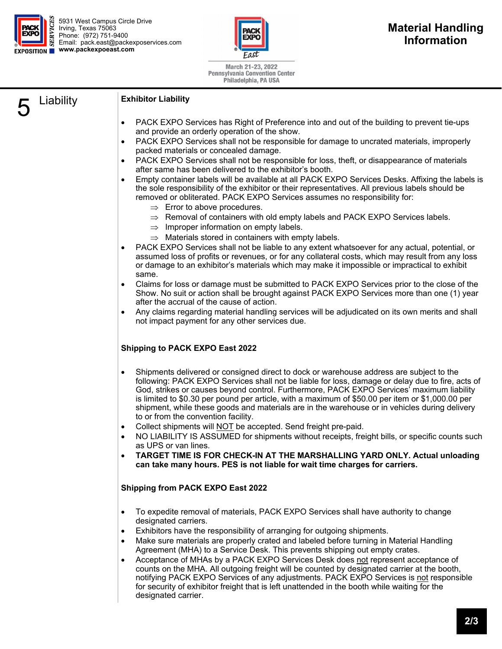

5931 West Campus Circle Drive Irving, Texas 75063 Phone: (972) 751-9400 Email: pack.east@packexposervices.com **EXPOSITION WWW.packexpoeast.com** 



March 21-23, 2022 **Pennsylvania Convention Center** Philadelphia, PA USA